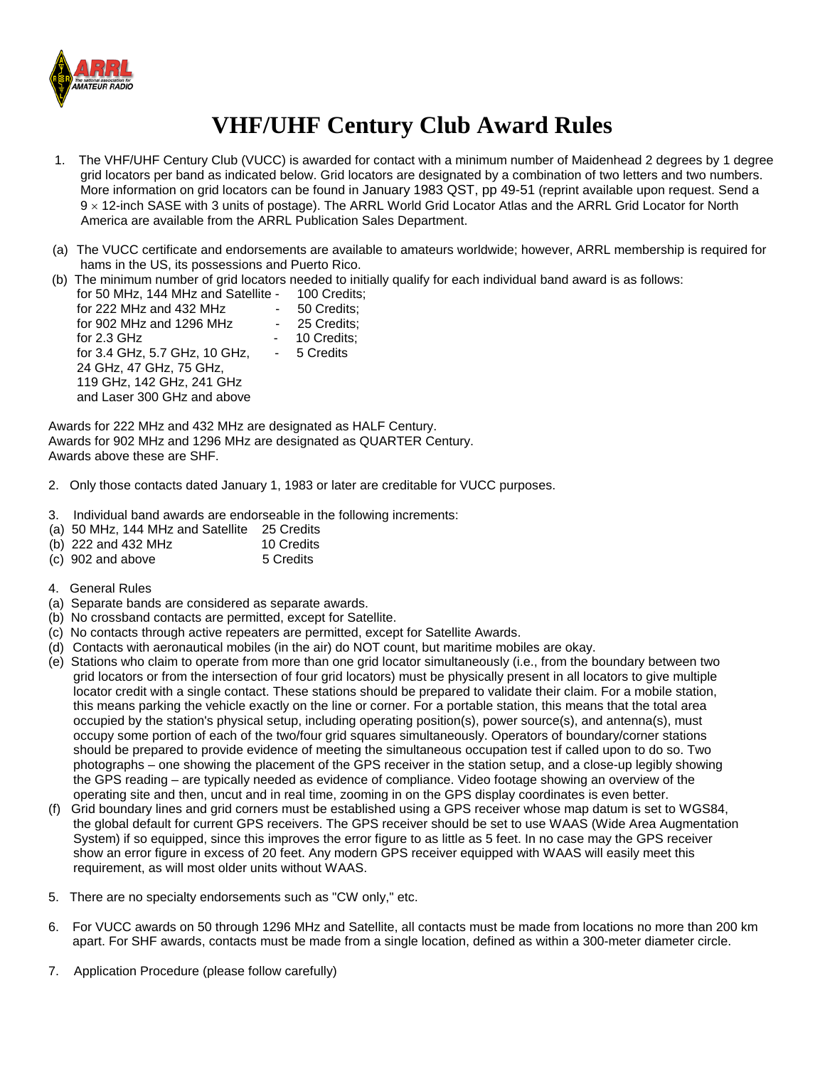

## **VHF/UHF Century Club Award Rules**

- 1. The VHF/UHF Century Club (VUCC) is awarded for contact with a minimum number of Maidenhead 2 degrees by 1 degree grid locators per band as indicated below. Grid locators are designated by a combination of two letters and two numbers. More information on grid locators can be found in [January 1983 QST, pp 49-51](http://www.arrl.org/awards/vucc/8301-qst.html) (reprint available upon request. Send a 9 × 12-inch SASE with 3 units of postage). Th[e ARRL World Grid Locator Atlas](http://www.arrl.org/catalog/?category=&words=World+Grid+Locator+Atlas&SearchWords.x=11&SearchWords.y=10) and the ARRL Grid Locator for North America are available from the ARRL Publication Sales Department.
- (a) The VUCC certificate and endorsements are available to amateurs worldwide; however, ARRL membership is required for hams in the US, its possessions and Puerto Rico.
- (b) The minimum number of grid locators needed to initially qualify for each individual band award is as follows:

| for 50 MHz, 144 MHz and Satellite - | 100 Credits; |
|-------------------------------------|--------------|
| for 222 MHz and 432 MHz             | 50 Credits;  |
| for 902 MHz and 1296 MHz            | 25 Credits:  |
| for $2.3$ GHz                       | 10 Credits;  |
| for 3.4 GHz, 5.7 GHz, 10 GHz,       | - 5 Credits  |
| 24 GHz, 47 GHz, 75 GHz,             |              |
| 119 GHz, 142 GHz, 241 GHz           |              |
| and Laser 300 GHz and above         |              |
|                                     |              |

Awards for 222 MHz and 432 MHz are designated as HALF Century. Awards for 902 MHz and 1296 MHz are designated as QUARTER Century. Awards above these are SHF.

- 2. Only those contacts dated January 1, 1983 or later are creditable for VUCC purposes.
- 3. Individual band awards are endorseable in the following increments:
- (a) 50 MHz, 144 MHz and Satellite 25 Credits
- (b)  $222$  and  $432$  MHz  $\hline{10}$  Credits (c)  $902$  and above  $\hline{5}$  Credits
- $(c)$  902 and above
- 4. General Rules
- (a) Separate bands are considered as separate awards.
- (b) No crossband contacts are permitted, except for Satellite.
- (c) No contacts through active repeaters are permitted, except for Satellite Awards.
- (d) Contacts with aeronautical mobiles (in the air) do NOT count, but maritime mobiles are okay.
- (e) Stations who claim to operate from more than one grid locator simultaneously (i.e., from the boundary between two grid locators or from the intersection of four grid locators) must be physically present in all locators to give multiple locator credit with a single contact. These stations should be prepared to validate their claim. For a mobile station, this means parking the vehicle exactly on the line or corner. For a portable station, this means that the total area occupied by the station's physical setup, including operating position(s), power source(s), and antenna(s), must occupy some portion of each of the two/four grid squares simultaneously. Operators of boundary/corner stations should be prepared to provide evidence of meeting the simultaneous occupation test if called upon to do so. Two photographs – one showing the placement of the GPS receiver in the station setup, and a close-up legibly showing the GPS reading – are typically needed as evidence of compliance. Video footage showing an overview of the operating site and then, uncut and in real time, zooming in on the GPS display coordinates is even better.
- (f) Grid boundary lines and grid corners must be established using a GPS receiver whose map datum is set to WGS84, the global default for current GPS receivers. The GPS receiver should be set to use WAAS (Wide Area Augmentation System) if so equipped, since this improves the error figure to as little as 5 feet. In no case may the GPS receiver show an error figure in excess of 20 feet. Any modern GPS receiver equipped with WAAS will easily meet this requirement, as will most older units without WAAS.
- 5. There are no specialty endorsements such as "CW only," etc.
- 6. For VUCC awards on 50 through 1296 MHz and Satellite, all contacts must be made from locations no more than 200 km apart. For SHF awards, contacts must be made from a single location, defined as within a 300-meter diameter circle.
- 7. Application Procedure (please follow carefully)